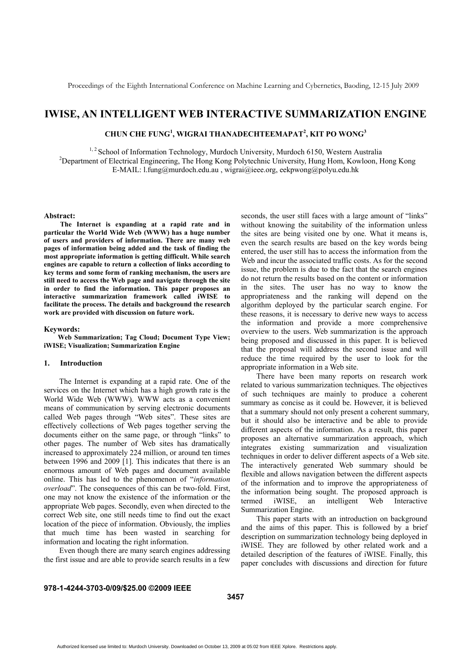# **IWISE, AN INTELLIGENT WEB INTERACTIVE SUMMARIZATION ENGINE**

# **CHUN CHE FUNG<sup>1</sup> , WIGRAI THANADECHTEEMAPAT2 , KIT PO WONG<sup>3</sup>**

<sup>1, 2</sup> School of Information Technology, Murdoch University, Murdoch 6150, Western Australia

<sup>2</sup>Department of Electrical Engineering, The Hong Kong Polytechnic University, Hung Hom, Kowloon, Hong Kong E-MAIL: l.fung@murdoch.edu.au , wigrai@ieee.org, eekpwong@polyu.edu.hk

# **Abstract:**

**The Internet is expanding at a rapid rate and in particular the World Wide Web (WWW) has a huge number of users and providers of information. There are many web pages of information being added and the task of finding the most appropriate information is getting difficult. While search engines are capable to return a collection of links according to key terms and some form of ranking mechanism, the users are still need to access the Web page and navigate through the site in order to find the information. This paper proposes an interactive summarization framework called iWISE to facilitate the process. The details and background the research work are provided with discussion on future work.** 

#### **Keywords:**

**Web Summarization; Tag Cloud; Document Type View; iWISE; Visualization; Summarization Engine**

#### **1. Introduction**

The Internet is expanding at a rapid rate. One of the services on the Internet which has a high growth rate is the World Wide Web (WWW). WWW acts as a convenient means of communication by serving electronic documents called Web pages through "Web sites". These sites are effectively collections of Web pages together serving the documents either on the same page, or through "links" to other pages. The number of Web sites has dramatically increased to approximately 224 million, or around ten times between 1996 and 2009 [1]. This indicates that there is an enormous amount of Web pages and document available online. This has led to the phenomenon of "*information overload*". The consequences of this can be two-fold. First, one may not know the existence of the information or the appropriate Web pages. Secondly, even when directed to the correct Web site, one still needs time to find out the exact location of the piece of information. Obviously, the implies that much time has been wasted in searching for information and locating the right information.

Even though there are many search engines addressing the first issue and are able to provide search results in a few seconds, the user still faces with a large amount of "links" without knowing the suitability of the information unless the sites are being visited one by one. What it means is, even the search results are based on the key words being entered, the user still has to access the information from the Web and incur the associated traffic costs. As for the second issue, the problem is due to the fact that the search engines do not return the results based on the content or information in the sites. The user has no way to know the appropriateness and the ranking will depend on the algorithm deployed by the particular search engine. For these reasons, it is necessary to derive new ways to access the information and provide a more comprehensive overview to the users. Web summarization is the approach being proposed and discussed in this paper. It is believed that the proposal will address the second issue and will reduce the time required by the user to look for the appropriate information in a Web site.

There have been many reports on research work related to various summarization techniques. The objectives of such techniques are mainly to produce a coherent summary as concise as it could be. However, it is believed that a summary should not only present a coherent summary, but it should also be interactive and be able to provide different aspects of the information. As a result, this paper proposes an alternative summarization approach, which integrates existing summarization and visualization techniques in order to deliver different aspects of a Web site. The interactively generated Web summary should be flexible and allows navigation between the different aspects of the information and to improve the appropriateness of the information being sought. The proposed approach is termed iWISE, an intelligent Web Interactive Summarization Engine.

This paper starts with an introduction on background and the aims of this paper. This is followed by a brief description on summarization technology being deployed in iWISE. They are followed by other related work and a detailed description of the features of iWISE. Finally, this paper concludes with discussions and direction for future

# **978-1-4244-3703-0/09/\$25.00 ©2009 IEEE**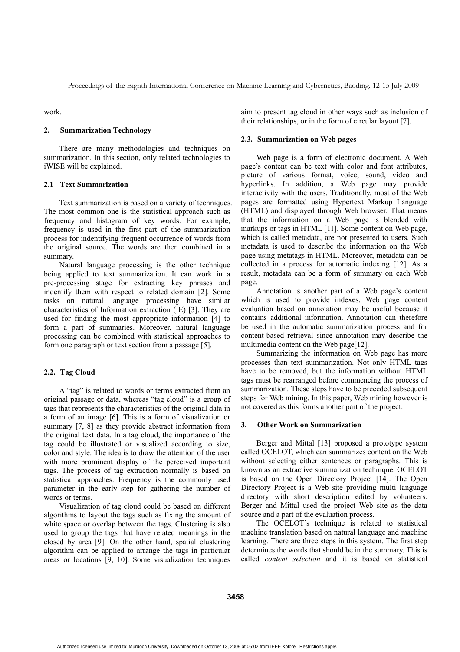work.

# **2. Summarization Technology**

There are many methodologies and techniques on summarization. In this section, only related technologies to iWISE will be explained.

#### **2.1 Text Summarization**

Text summarization is based on a variety of techniques. The most common one is the statistical approach such as frequency and histogram of key words. For example, frequency is used in the first part of the summarization process for indentifying frequent occurrence of words from the original source. The words are then combined in a summary.

Natural language processing is the other technique being applied to text summarization. It can work in a pre-processing stage for extracting key phrases and indentify them with respect to related domain [2]. Some tasks on natural language processing have similar characteristics of Information extraction (IE) [3]. They are used for finding the most appropriate information [4] to form a part of summaries. Moreover, natural language processing can be combined with statistical approaches to form one paragraph or text section from a passage [5].

# **2.2. Tag Cloud**

A "tag" is related to words or terms extracted from an original passage or data, whereas "tag cloud" is a group of tags that represents the characteristics of the original data in a form of an image [6]. This is a form of visualization or summary [7, 8] as they provide abstract information from the original text data. In a tag cloud, the importance of the tag could be illustrated or visualized according to size, color and style. The idea is to draw the attention of the user with more prominent display of the perceived important tags. The process of tag extraction normally is based on statistical approaches. Frequency is the commonly used parameter in the early step for gathering the number of words or terms.

Visualization of tag cloud could be based on different algorithms to layout the tags such as fixing the amount of white space or overlap between the tags. Clustering is also used to group the tags that have related meanings in the closed by area [9]. On the other hand, spatial clustering algorithm can be applied to arrange the tags in particular areas or locations [9, 10]. Some visualization techniques

aim to present tag cloud in other ways such as inclusion of their relationships, or in the form of circular layout [7].

# **2.3. Summarization on Web pages**

Web page is a form of electronic document. A Web page's content can be text with color and font attributes, picture of various format, voice, sound, video and hyperlinks. In addition, a Web page may provide interactivity with the users. Traditionally, most of the Web pages are formatted using Hypertext Markup Language (HTML) and displayed through Web browser. That means that the information on a Web page is blended with markups or tags in HTML [11]. Some content on Web page, which is called metadata, are not presented to users. Such metadata is used to describe the information on the Web page using metatags in HTML. Moreover, metadata can be collected in a process for automatic indexing [12]. As a result, metadata can be a form of summary on each Web page.

Annotation is another part of a Web page's content which is used to provide indexes. Web page content evaluation based on annotation may be useful because it contains additional information. Annotation can therefore be used in the automatic summarization process and for content-based retrieval since annotation may describe the multimedia content on the Web page[12].

Summarizing the information on Web page has more processes than text summarization. Not only HTML tags have to be removed, but the information without HTML tags must be rearranged before commencing the process of summarization. These steps have to be preceded subsequent steps for Web mining. In this paper, Web mining however is not covered as this forms another part of the project.

#### **3. Other Work on Summarization**

Berger and Mittal [13] proposed a prototype system called OCELOT, which can summarizes content on the Web without selecting either sentences or paragraphs. This is known as an extractive summarization technique. OCELOT is based on the Open Directory Project [14]. The Open Directory Project is a Web site providing multi language directory with short description edited by volunteers. Berger and Mittal used the project Web site as the data source and a part of the evaluation process.

The OCELOT's technique is related to statistical machine translation based on natural language and machine learning. There are three steps in this system. The first step determines the words that should be in the summary. This is called *content selection* and it is based on statistical

**3458**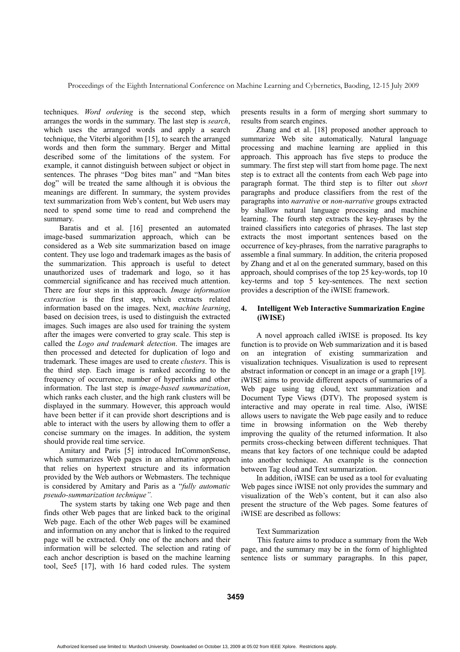techniques. *Word ordering* is the second step, which arranges the words in the summary. The last step is *search*, which uses the arranged words and apply a search technique, the Viterbi algorithm [15], to search the arranged words and then form the summary. Berger and Mittal described some of the limitations of the system. For example, it cannot distinguish between subject or object in sentences. The phrases "Dog bites man" and "Man bites dog" will be treated the same although it is obvious the meanings are different. In summary, the system provides text summarization from Web's content, but Web users may need to spend some time to read and comprehend the summary.

Baratis and et al. [16] presented an automated image-based summarization approach, which can be considered as a Web site summarization based on image content. They use logo and trademark images as the basis of the summarization. This approach is useful to detect unauthorized uses of trademark and logo, so it has commercial significance and has received much attention. There are four steps in this approach. *Image information extraction* is the first step, which extracts related information based on the images. Next, *machine learning*, based on decision trees, is used to distinguish the extracted images. Such images are also used for training the system after the images were converted to gray scale. This step is called the *Logo and trademark detection*. The images are then processed and detected for duplication of logo and trademark. These images are used to create *clusters*. This is the third step. Each image is ranked according to the frequency of occurrence, number of hyperlinks and other information. The last step is *image-based summarization*, which ranks each cluster, and the high rank clusters will be displayed in the summary. However, this approach would have been better if it can provide short descriptions and is able to interact with the users by allowing them to offer a concise summary on the images. In addition, the system should provide real time service.

Amitary and Paris [5] introduced InCommonSense, which summarizes Web pages in an alternative approach that relies on hypertext structure and its information provided by the Web authors or Webmasters. The technique is considered by Amitary and Paris as a "*fully automatic pseudo-summarization technique".*

 The system starts by taking one Web page and then finds other Web pages that are linked back to the original Web page. Each of the other Web pages will be examined and information on any anchor that is linked to the required page will be extracted. Only one of the anchors and their information will be selected. The selection and rating of each anchor description is based on the machine learning tool, See5 [17], with 16 hard coded rules. The system

presents results in a form of merging short summary to results from search engines.

Zhang and et al. [18] proposed another approach to summarize Web site automatically. Natural language processing and machine learning are applied in this approach. This approach has five steps to produce the summary. The first step will start from home page. The next step is to extract all the contents from each Web page into paragraph format. The third step is to filter out *short* paragraphs and produce classifiers from the rest of the paragraphs into *narrative* or *non-narrative* groups extracted by shallow natural language processing and machine learning. The fourth step extracts the key-phrases by the trained classifiers into categories of phrases. The last step extracts the most important sentences based on the occurrence of key-phrases, from the narrative paragraphs to assemble a final summary. In addition, the criteria proposed by Zhang and et al on the generated summary, based on this approach, should comprises of the top 25 key-words, top 10 key-terms and top 5 key-sentences. The next section provides a description of the iWISE framework.

# **4. Intelligent Web Interactive Summarization Engine (iWISE)**

A novel approach called iWISE is proposed. Its key function is to provide on Web summarization and it is based on an integration of existing summarization and visualization techniques. Visualization is used to represent abstract information or concept in an image or a graph [19]. iWISE aims to provide different aspects of summaries of a Web page using tag cloud, text summarization and Document Type Views (DTV). The proposed system is interactive and may operate in real time. Also, iWISE allows users to navigate the Web page easily and to reduce time in browsing information on the Web thereby improving the quality of the returned information. It also permits cross-checking between different techniques. That means that key factors of one technique could be adapted into another technique. An example is the connection between Tag cloud and Text summarization.

In addition, iWISE can be used as a tool for evaluating Web pages since iWISE not only provides the summary and visualization of the Web's content, but it can also also present the structure of the Web pages. Some features of iWISE are described as follows:

# Text Summarization

 This feature aims to produce a summary from the Web page, and the summary may be in the form of highlighted sentence lists or summary paragraphs. In this paper,

**3459**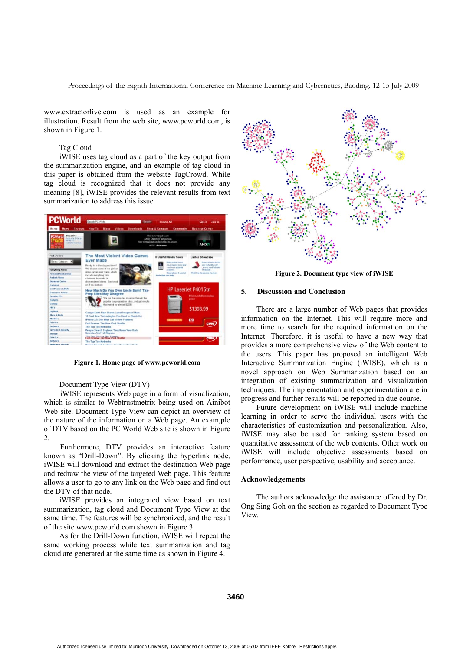www.extractorlive.com is used as an example for illustration. Result from the web site, www.pcworld.com, is shown in Figure 1.

# Tag Cloud

iWISE uses tag cloud as a part of the key output from the summarization engine, and an example of tag cloud in this paper is obtained from the website TagCrowd. While tag cloud is recognized that it does not provide any meaning [8], iWISE provides the relevant results from text summarization to address this issue.



**Figure 1. Home page of www.pcworld.com** 

# Document Type View (DTV)

 iWISE represents Web page in a form of visualization, which is similar to Webtrustmetrix being used on Ainibot Web site. Document Type View can depict an overview of the nature of the information on a Web page. An exam,ple of DTV based on the PC World Web site is shown in Figure 2.

 Furthermore, DTV provides an interactive feature known as "Drill-Down". By clicking the hyperlink node, iWISE will download and extract the destination Web page and redraw the view of the targeted Web page. This feature allows a user to go to any link on the Web page and find out the DTV of that node.

iWISE provides an integrated view based on text summarization, tag cloud and Document Type View at the same time. The features will be synchronized, and the result of the site www.pcworld.com shown in Figure 3.

As for the Drill-Down function, iWISE will repeat the same working process while text summarization and tag cloud are generated at the same time as shown in Figure 4.



**Figure 2. Document type view of iWISE** 

# **5. Discussion and Conclusion**

There are a large number of Web pages that provides information on the Internet. This will require more and more time to search for the required information on the Internet. Therefore, it is useful to have a new way that provides a more comprehensive view of the Web content to the users. This paper has proposed an intelligent Web Interactive Summarization Engine (iWISE), which is a novel approach on Web Summarization based on an integration of existing summarization and visualization techniques. The implementation and experimentation are in progress and further results will be reported in due course.

Future development on iWISE will include machine learning in order to serve the individual users with the characteristics of customization and personalization. Also, iWISE may also be used for ranking system based on quantitative assessment of the web contents. Other work on iWISE will include objective assessments based on performance, user perspective, usability and acceptance.

# **Acknowledgements**

The authors acknowledge the assistance offered by Dr. Ong Sing Goh on the section as regarded to Document Type View.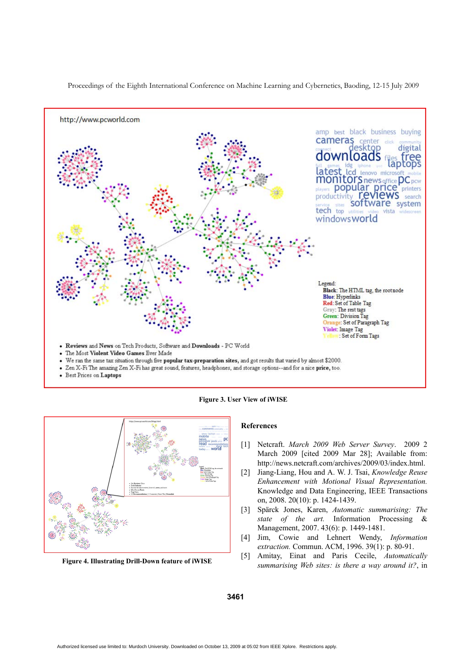

**Figure 3. User View of iWISE** 



**Figure 4. Illustrating Drill-Down feature of iWISE** 

### **References**

- [1] Netcraft. *March 2009 Web Server Survey*. 2009 2 March 2009 [cited 2009 Mar 28]; Available from: http://news.netcraft.com/archives/2009/03/index.html.
- [2] Jiang-Liang, Hou and A. W. J. Tsai, *Knowledge Reuse Enhancement with Motional Visual Representation.* Knowledge and Data Engineering, IEEE Transactions on, 2008. 20(10): p. 1424-1439.
- [3] Spärck Jones, Karen, *Automatic summarising: The state of the art.* Information Processing & Management, 2007. 43(6): p. 1449-1481.
- [4] Jim, Cowie and Lehnert Wendy, *Information extraction.* Commun. ACM, 1996. 39(1): p. 80-91.
- [5] Amitay, Einat and Paris Cecile, *Automatically summarising Web sites: is there a way around it?*, in

**3461**